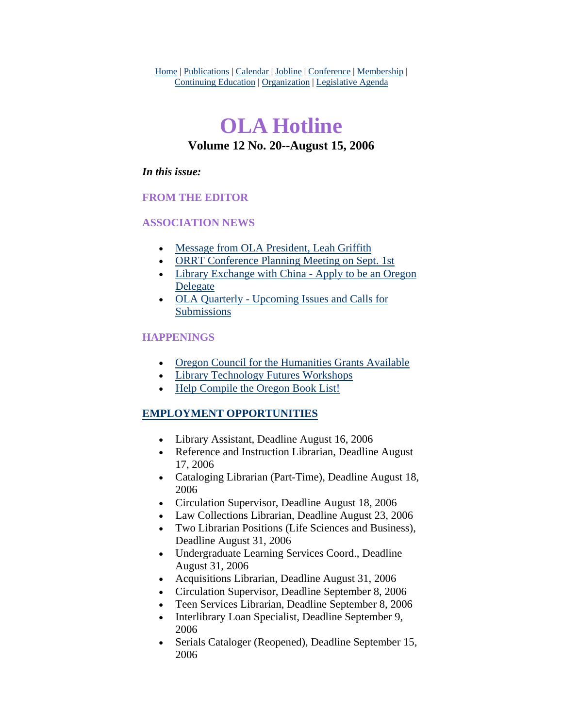Home | Publications | Calendar | Jobline | Conference | Membership | Continuing Education | Organization | Legislative Agenda

# **OLA Hotline Volume 12 No. 20--August 15, 2006**

#### *In this issue:*

#### **FROM THE EDITOR**

#### **ASSOCIATION NEWS**

- [Message from OLA President, Leah Griffith](#page-1-0)
- [ORRT Conference Planning Meeting on Sept. 1st](#page-2-0)
- Library Exchange with China Apply to be an Oregon [Delegate](#page-2-0)
- [OLA Quarterly Upcoming Issues and Calls for](#page-4-0)  [Submissions](#page-4-0)

#### **HAPPENINGS**

- [Oregon Council for the Humanities Grants Available](#page-6-0)
- [Library Technology Futures Workshops](#page-7-0)
- [Help Compile the Oregon Book List!](#page-9-0)

#### **EMPLOYMENT OPPORTUNITIES**

- Library Assistant, Deadline August 16, 2006
- Reference and Instruction Librarian, Deadline August 17, 2006
- Cataloging Librarian (Part-Time), Deadline August 18, 2006
- Circulation Supervisor, Deadline August 18, 2006
- Law Collections Librarian, Deadline August 23, 2006
- Two Librarian Positions (Life Sciences and Business), Deadline August 31, 2006
- Undergraduate Learning Services Coord., Deadline August 31, 2006
- Acquisitions Librarian, Deadline August 31, 2006
- Circulation Supervisor, Deadline September 8, 2006
- Teen Services Librarian, Deadline September 8, 2006
- Interlibrary Loan Specialist, Deadline September 9, 2006
- Serials Cataloger (Reopened), Deadline September 15, 2006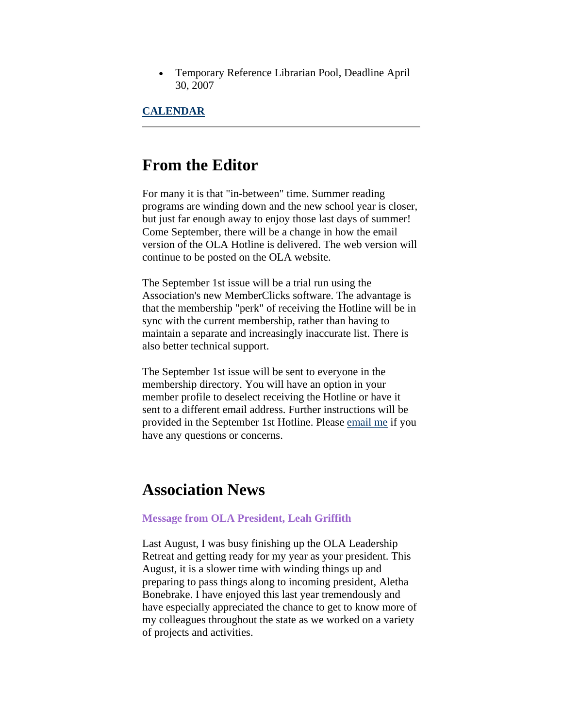<span id="page-1-0"></span>• Temporary Reference Librarian Pool, Deadline April 30, 2007

#### **CALENDAR**

### **From the Editor**

For many it is that "in-between" time. Summer reading programs are winding down and the new school year is closer, but just far enough away to enjoy those last days of summer! Come September, there will be a change in how the email version of the OLA Hotline is delivered. The web version will continue to be posted on the OLA website.

The September 1st issue will be a trial run using the Association's new MemberClicks software. The advantage is that the membership "perk" of receiving the Hotline will be in sync with the current membership, rather than having to maintain a separate and increasingly inaccurate list. There is also better technical support.

The September 1st issue will be sent to everyone in the membership directory. You will have an option in your member profile to deselect receiving the Hotline or have it sent to a different email address. Further instructions will be provided in the September 1st Hotline. Please [email me](mailto:sotak@up.edu) if you have any questions or concerns.

### **Association News**

#### **Message from OLA President, Leah Griffith**

Last August, I was busy finishing up the OLA Leadership Retreat and getting ready for my year as your president. This August, it is a slower time with winding things up and preparing to pass things along to incoming president, Aletha Bonebrake. I have enjoyed this last year tremendously and have especially appreciated the chance to get to know more of my colleagues throughout the state as we worked on a variety of projects and activities.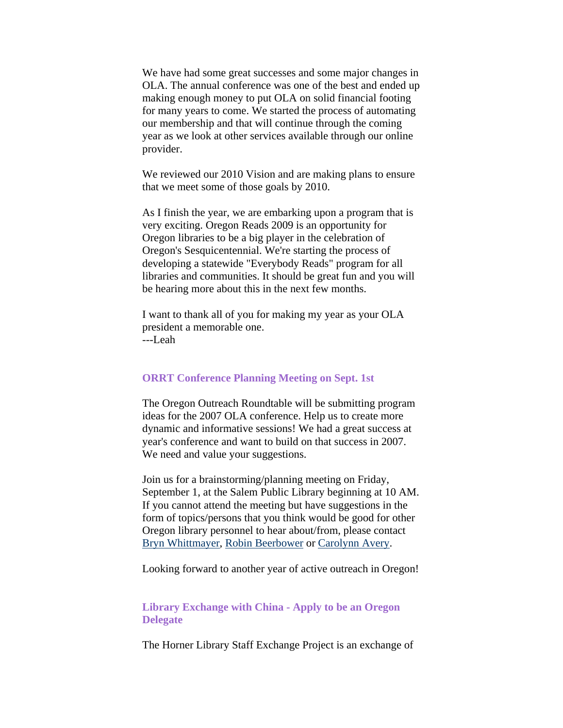<span id="page-2-0"></span>We have had some great successes and some major changes in OLA. The annual conference was one of the best and ended up making enough money to put OLA on solid financial footing for many years to come. We started the process of automating our membership and that will continue through the coming year as we look at other services available through our online provider.

We reviewed our 2010 Vision and are making plans to ensure that we meet some of those goals by 2010.

As I finish the year, we are embarking upon a program that is very exciting. Oregon Reads 2009 is an opportunity for Oregon libraries to be a big player in the celebration of Oregon's Sesquicentennial. We're starting the process of developing a statewide "Everybody Reads" program for all libraries and communities. It should be great fun and you will be hearing more about this in the next few months.

I want to thank all of you for making my year as your OLA president a memorable one. ---Leah

#### **ORRT Conference Planning Meeting on Sept. 1st**

The Oregon Outreach Roundtable will be submitting program ideas for the 2007 OLA conference. Help us to create more dynamic and informative sessions! We had a great success at year's conference and want to build on that success in 2007. We need and value your suggestions.

Join us for a brainstorming/planning meeting on Friday, September 1, at the Salem Public Library beginning at 10 AM. If you cannot attend the meeting but have suggestions in the form of topics/persons that you think would be good for other Oregon library personnel to hear about/from, please contact [Bryn Whittmayer](mailto:bwittmayer@cityofsalem.net), [Robin Beerbower](mailto:rbeerbower@cityofsalem.net) or [Carolynn Avery.](mailto:Carolynn.Avery@ci.corvallis.or.us)

Looking forward to another year of active outreach in Oregon!

#### **Library Exchange with China - Apply to be an Oregon Delegate**

The Horner Library Staff Exchange Project is an exchange of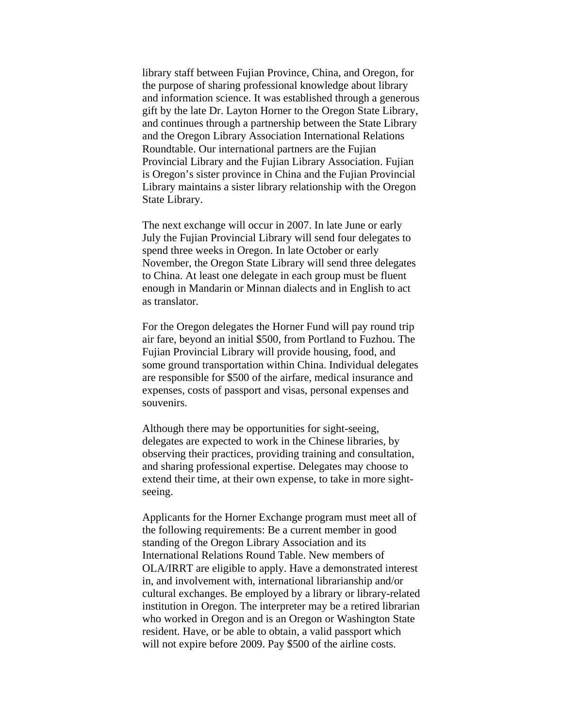library staff between Fujian Province, China, and Oregon, for the purpose of sharing professional knowledge about library and information science. It was established through a generous gift by the late Dr. Layton Horner to the Oregon State Library, and continues through a partnership between the State Library and the Oregon Library Association International Relations Roundtable. Our international partners are the Fujian Provincial Library and the Fujian Library Association. Fujian is Oregon's sister province in China and the Fujian Provincial Library maintains a sister library relationship with the Oregon State Library.

The next exchange will occur in 2007. In late June or early July the Fujian Provincial Library will send four delegates to spend three weeks in Oregon. In late October or early November, the Oregon State Library will send three delegates to China. At least one delegate in each group must be fluent enough in Mandarin or Minnan dialects and in English to act as translator.

For the Oregon delegates the Horner Fund will pay round trip air fare, beyond an initial \$500, from Portland to Fuzhou. The Fujian Provincial Library will provide housing, food, and some ground transportation within China. Individual delegates are responsible for \$500 of the airfare, medical insurance and expenses, costs of passport and visas, personal expenses and souvenirs.

Although there may be opportunities for sight-seeing, delegates are expected to work in the Chinese libraries, by observing their practices, providing training and consultation, and sharing professional expertise. Delegates may choose to extend their time, at their own expense, to take in more sightseeing.

Applicants for the Horner Exchange program must meet all of the following requirements: Be a current member in good standing of the Oregon Library Association and its International Relations Round Table. New members of OLA/IRRT are eligible to apply. Have a demonstrated interest in, and involvement with, international librarianship and/or cultural exchanges. Be employed by a library or library-related institution in Oregon. The interpreter may be a retired librarian who worked in Oregon and is an Oregon or Washington State resident. Have, or be able to obtain, a valid passport which will not expire before 2009. Pay \$500 of the airline costs.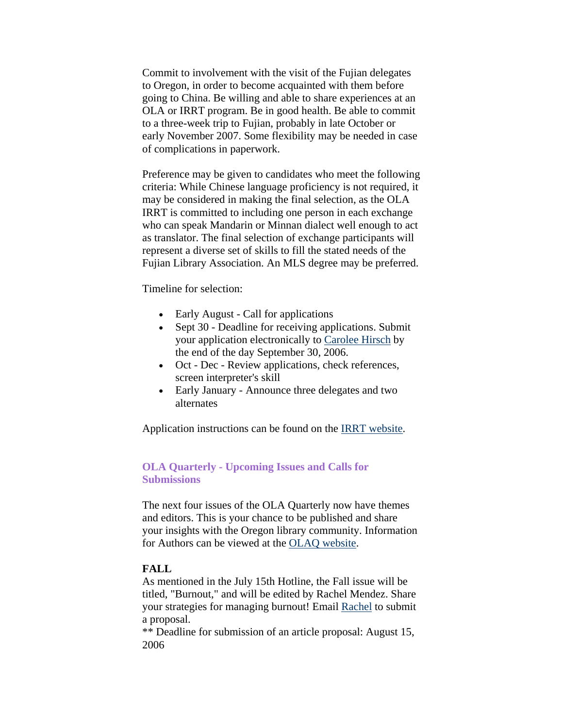<span id="page-4-0"></span>Commit to involvement with the visit of the Fujian delegates to Oregon, in order to become acquainted with them before going to China. Be willing and able to share experiences at an OLA or IRRT program. Be in good health. Be able to commit to a three-week trip to Fujian, probably in late October or early November 2007. Some flexibility may be needed in case of complications in paperwork.

Preference may be given to candidates who meet the following criteria: While Chinese language proficiency is not required, it may be considered in making the final selection, as the OLA IRRT is committed to including one person in each exchange who can speak Mandarin or Minnan dialect well enough to act as translator. The final selection of exchange participants will represent a diverse set of skills to fill the stated needs of the Fujian Library Association. An MLS degree may be preferred.

Timeline for selection:

- Early August Call for applications
- Sept 30 Deadline for receiving applications. Submit your application electronically to [Carolee Hirsch](mailto:b.carolee.hirsch@ci.eugene.or.us) by the end of the day September 30, 2006.
- Oct Dec Review applications, check references, screen interpreter's skill
- Early January Announce three delegates and two alternates

Application instructions can be found on the [IRRT website](http://www.olaweb.org/org/horner.application.htm).

#### **OLA Quarterly - Upcoming Issues and Calls for Submissions**

The next four issues of the OLA Quarterly now have themes and editors. This is your chance to be published and share your insights with the Oregon library community. Information for Authors can be viewed at the [OLAQ website](http://www.olaweb.org/quarterly/authors.shtml).

#### **FALL**

As mentioned in the July 15th Hotline, the Fall issue will be titled, "Burnout," and will be edited by Rachel Mendez. Share your strategies for managing burnout! Email [Rachel](mailto:ola@olaweb.org) to submit a proposal.

\*\* Deadline for submission of an article proposal: August 15, 2006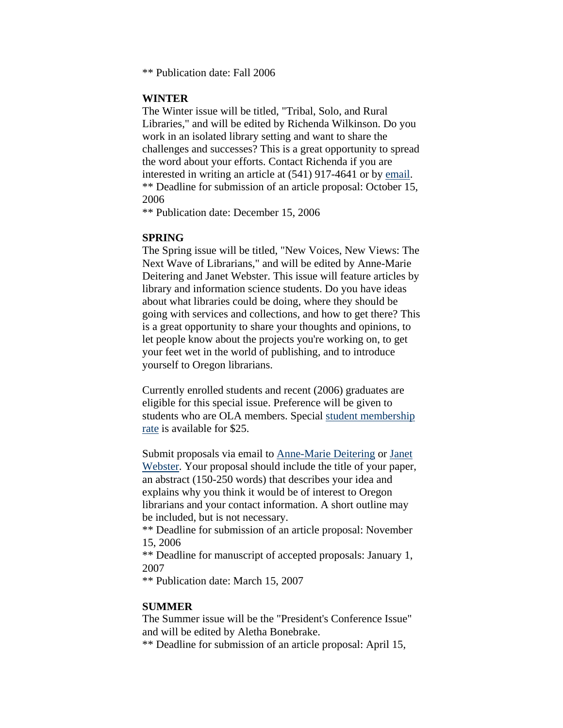\*\* Publication date: Fall 2006

#### **WINTER**

The Winter issue will be titled, "Tribal, Solo, and Rural Libraries," and will be edited by Richenda Wilkinson. Do you work in an isolated library setting and want to share the challenges and successes? This is a great opportunity to spread the word about your efforts. Contact Richenda if you are interested in writing an article at (541) 917-4641 or by [email](mailto:richenda.wilkinson@oregonstate.edu). \*\* Deadline for submission of an article proposal: October 15, 2006

\*\* Publication date: December 15, 2006

#### **SPRING**

The Spring issue will be titled, "New Voices, New Views: The Next Wave of Librarians," and will be edited by Anne-Marie Deitering and Janet Webster. This issue will feature articles by library and information science students. Do you have ideas about what libraries could be doing, where they should be going with services and collections, and how to get there? This is a great opportunity to share your thoughts and opinions, to let people know about the projects you're working on, to get your feet wet in the world of publishing, and to introduce yourself to Oregon librarians.

Currently enrolled students and recent (2006) graduates are eligible for this special issue. Preference will be given to students who are OLA members. Special [student membership](http://www.olaweb.org/student_members.shtml)  [rate](http://www.olaweb.org/student_members.shtml) is available for \$25.

Submit proposals via email to [Anne-Marie Deitering](mailto:anne-%20marie.deitering@oregonstate.edu) or [Janet](mailto:janet.webster@oregonstate.edu)  [Webster.](mailto:janet.webster@oregonstate.edu) Your proposal should include the title of your paper, an abstract (150-250 words) that describes your idea and explains why you think it would be of interest to Oregon librarians and your contact information. A short outline may be included, but is not necessary.

\*\* Deadline for submission of an article proposal: November 15, 2006

\*\* Deadline for manuscript of accepted proposals: January 1, 2007

\*\* Publication date: March 15, 2007

#### **SUMMER**

The Summer issue will be the "President's Conference Issue" and will be edited by Aletha Bonebrake.

\*\* Deadline for submission of an article proposal: April 15,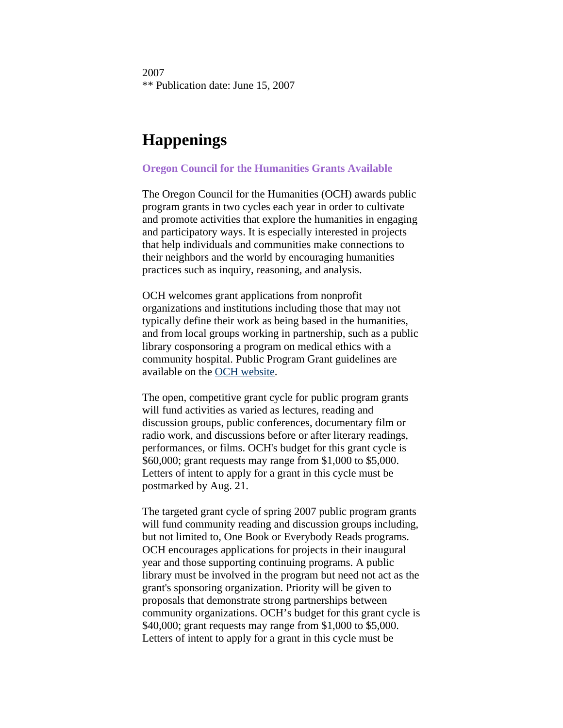<span id="page-6-0"></span>2007 \*\* Publication date: June 15, 2007

## **Happenings**

#### **Oregon Council for the Humanities Grants Available**

The Oregon Council for the Humanities (OCH) awards public program grants in two cycles each year in order to cultivate and promote activities that explore the humanities in engaging and participatory ways. It is especially interested in projects that help individuals and communities make connections to their neighbors and the world by encouraging humanities practices such as inquiry, reasoning, and analysis.

OCH welcomes grant applications from nonprofit organizations and institutions including those that may not typically define their work as being based in the humanities, and from local groups working in partnership, such as a public library cosponsoring a program on medical ethics with a community hospital. Public Program Grant guidelines are available on the [OCH website.](http://www.oregonhum.org/)

The open, competitive grant cycle for public program grants will fund activities as varied as lectures, reading and discussion groups, public conferences, documentary film or radio work, and discussions before or after literary readings, performances, or films. OCH's budget for this grant cycle is \$60,000; grant requests may range from \$1,000 to \$5,000. Letters of intent to apply for a grant in this cycle must be postmarked by Aug. 21.

The targeted grant cycle of spring 2007 public program grants will fund community reading and discussion groups including, but not limited to, One Book or Everybody Reads programs. OCH encourages applications for projects in their inaugural year and those supporting continuing programs. A public library must be involved in the program but need not act as the grant's sponsoring organization. Priority will be given to proposals that demonstrate strong partnerships between community organizations. OCH's budget for this grant cycle is \$40,000; grant requests may range from \$1,000 to \$5,000. Letters of intent to apply for a grant in this cycle must be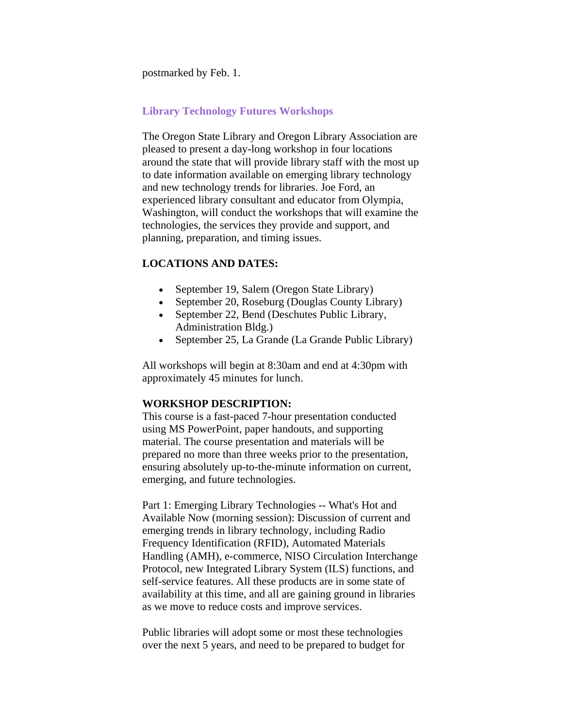<span id="page-7-0"></span>postmarked by Feb. 1.

#### **Library Technology Futures Workshops**

The Oregon State Library and Oregon Library Association are pleased to present a day-long workshop in four locations around the state that will provide library staff with the most up to date information available on emerging library technology and new technology trends for libraries. Joe Ford, an experienced library consultant and educator from Olympia, Washington, will conduct the workshops that will examine the technologies, the services they provide and support, and planning, preparation, and timing issues.

#### **LOCATIONS AND DATES:**

- September 19, Salem (Oregon State Library)
- September 20, Roseburg (Douglas County Library)
- September 22, Bend (Deschutes Public Library, Administration Bldg.)
- September 25, La Grande (La Grande Public Library)

All workshops will begin at 8:30am and end at 4:30pm with approximately 45 minutes for lunch.

#### **WORKSHOP DESCRIPTION:**

This course is a fast-paced 7-hour presentation conducted using MS PowerPoint, paper handouts, and supporting material. The course presentation and materials will be prepared no more than three weeks prior to the presentation, ensuring absolutely up-to-the-minute information on current, emerging, and future technologies.

Part 1: Emerging Library Technologies -- What's Hot and Available Now (morning session): Discussion of current and emerging trends in library technology, including Radio Frequency Identification (RFID), Automated Materials Handling (AMH), e-commerce, NISO Circulation Interchange Protocol, new Integrated Library System (ILS) functions, and self-service features. All these products are in some state of availability at this time, and all are gaining ground in libraries as we move to reduce costs and improve services.

Public libraries will adopt some or most these technologies over the next 5 years, and need to be prepared to budget for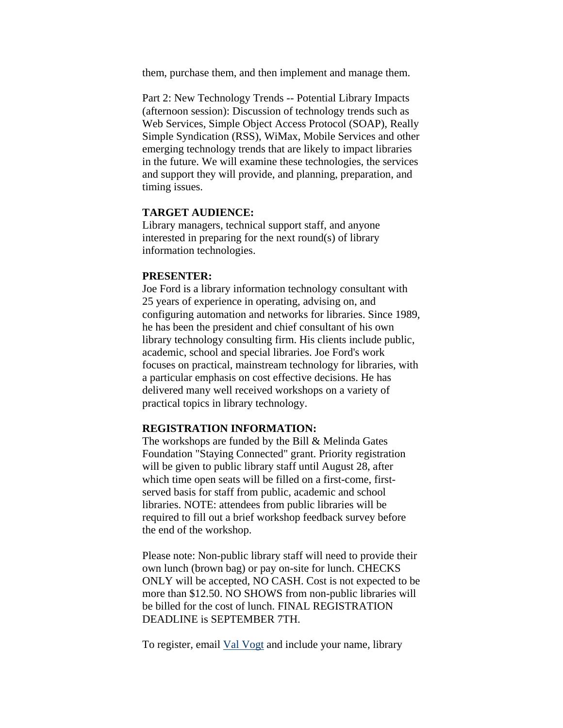them, purchase them, and then implement and manage them.

Part 2: New Technology Trends -- Potential Library Impacts (afternoon session): Discussion of technology trends such as Web Services, Simple Object Access Protocol (SOAP), Really Simple Syndication (RSS), WiMax, Mobile Services and other emerging technology trends that are likely to impact libraries in the future. We will examine these technologies, the services and support they will provide, and planning, preparation, and timing issues.

#### **TARGET AUDIENCE:**

Library managers, technical support staff, and anyone interested in preparing for the next round(s) of library information technologies.

#### **PRESENTER:**

Joe Ford is a library information technology consultant with 25 years of experience in operating, advising on, and configuring automation and networks for libraries. Since 1989, he has been the president and chief consultant of his own library technology consulting firm. His clients include public, academic, school and special libraries. Joe Ford's work focuses on practical, mainstream technology for libraries, with a particular emphasis on cost effective decisions. He has delivered many well received workshops on a variety of practical topics in library technology.

#### **REGISTRATION INFORMATION:**

The workshops are funded by the Bill & Melinda Gates Foundation "Staying Connected" grant. Priority registration will be given to public library staff until August 28, after which time open seats will be filled on a first-come, firstserved basis for staff from public, academic and school libraries. NOTE: attendees from public libraries will be required to fill out a brief workshop feedback survey before the end of the workshop.

Please note: Non-public library staff will need to provide their own lunch (brown bag) or pay on-site for lunch. CHECKS ONLY will be accepted, NO CASH. Cost is not expected to be more than \$12.50. NO SHOWS from non-public libraries will be billed for the cost of lunch. FINAL REGISTRATION DEADLINE is SEPTEMBER 7TH.

To register, email [Val Vogt](mailto:val.t.vogt@state.or.us) and include your name, library